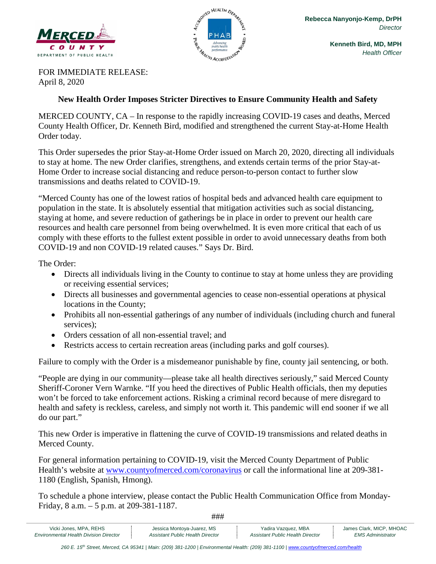



**Kenneth Bird, MD, MPH** *Health Officer*

FOR IMMEDIATE RELEASE: April 8, 2020

#### **New Health Order Imposes Stricter Directives to Ensure Community Health and Safety**

MERCED COUNTY, CA – In response to the rapidly increasing COVID-19 cases and deaths, Merced County Health Officer, Dr. Kenneth Bird, modified and strengthened the current Stay-at-Home Health Order today.

This Order supersedes the prior Stay-at-Home Order issued on March 20, 2020, directing all individuals to stay at home. The new Order clarifies, strengthens, and extends certain terms of the prior Stay-at-Home Order to increase social distancing and reduce person-to-person contact to further slow transmissions and deaths related to COVID-19.

"Merced County has one of the lowest ratios of hospital beds and advanced health care equipment to population in the state. It is absolutely essential that mitigation activities such as social distancing, staying at home, and severe reduction of gatherings be in place in order to prevent our health care resources and health care personnel from being overwhelmed. It is even more critical that each of us comply with these efforts to the fullest extent possible in order to avoid unnecessary deaths from both COVID-19 and non COVID-19 related causes." Says Dr. Bird.

The Order:

- Directs all individuals living in the County to continue to stay at home unless they are providing or receiving essential services;
- Directs all businesses and governmental agencies to cease non-essential operations at physical locations in the County;
- Prohibits all non-essential gatherings of any number of individuals (including church and funeral services);
- Orders cessation of all non-essential travel; and
- Restricts access to certain recreation areas (including parks and golf courses).

Failure to comply with the Order is a misdemeanor punishable by fine, county jail sentencing, or both.

"People are dying in our community—please take all health directives seriously," said Merced County Sheriff-Coroner Vern Warnke. "If you heed the directives of Public Health officials, then my deputies won't be forced to take enforcement actions. Risking a criminal record because of mere disregard to health and safety is reckless, careless, and simply not worth it. This pandemic will end sooner if we all do our part."

This new Order is imperative in flattening the curve of COVID-19 transmissions and related deaths in Merced County.

For general information pertaining to COVID-19, visit the Merced County Department of Public Health's website at [www.countyofmerced.com/coronavirus](http://www.countyofmerced.com/coronavirus) or call the informational line at 209-381- 1180 (English, Spanish, Hmong).

To schedule a phone interview, please contact the Public Health Communication Office from Monday-Friday, 8 a.m. – 5 p.m. at 209-381-1187.

###

Vicki Jones, MPA, REHS | Jessica Montoya-Juarez, MS | Yadira Vazquez, MBA | James Clark, MICP, MHOAC *Environmental Health Division Director Assistant Public Health Director Assistant Public Health Director EMS Administrator*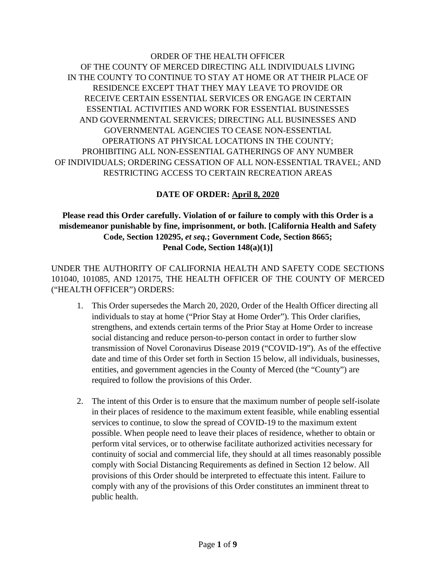# ORDER OF THE HEALTH OFFICER OF THE COUNTY OF MERCED DIRECTING ALL INDIVIDUALS LIVING IN THE COUNTY TO CONTINUE TO STAY AT HOME OR AT THEIR PLACE OF RESIDENCE EXCEPT THAT THEY MAY LEAVE TO PROVIDE OR RECEIVE CERTAIN ESSENTIAL SERVICES OR ENGAGE IN CERTAIN ESSENTIAL ACTIVITIES AND WORK FOR ESSENTIAL BUSINESSES AND GOVERNMENTAL SERVICES; DIRECTING ALL BUSINESSES AND GOVERNMENTAL AGENCIES TO CEASE NON-ESSENTIAL OPERATIONS AT PHYSICAL LOCATIONS IN THE COUNTY; PROHIBITING ALL NON-ESSENTIAL GATHERINGS OF ANY NUMBER OF INDIVIDUALS; ORDERING CESSATION OF ALL NON-ESSENTIAL TRAVEL; AND RESTRICTING ACCESS TO CERTAIN RECREATION AREAS

# **DATE OF ORDER: April 8, 2020**

### **Please read this Order carefully. Violation of or failure to comply with this Order is a misdemeanor punishable by fine, imprisonment, or both. [California Health and Safety Code, Section 120295,** *et seq.***; Government Code, Section 8665; Penal Code, Section 148(a)(1)]**

UNDER THE AUTHORITY OF CALIFORNIA HEALTH AND SAFETY CODE SECTIONS 101040, 101085, AND 120175, THE HEALTH OFFICER OF THE COUNTY OF MERCED ("HEALTH OFFICER") ORDERS:

- 1. This Order supersedes the March 20, 2020, Order of the Health Officer directing all individuals to stay at home ("Prior Stay at Home Order"). This Order clarifies, strengthens, and extends certain terms of the Prior Stay at Home Order to increase social distancing and reduce person-to-person contact in order to further slow transmission of Novel Coronavirus Disease 2019 ("COVID-19"). As of the effective date and time of this Order set forth in Section 15 below, all individuals, businesses, entities, and government agencies in the County of Merced (the "County") are required to follow the provisions of this Order.
- 2. The intent of this Order is to ensure that the maximum number of people self-isolate in their places of residence to the maximum extent feasible, while enabling essential services to continue, to slow the spread of COVID-19 to the maximum extent possible. When people need to leave their places of residence, whether to obtain or perform vital services, or to otherwise facilitate authorized activities necessary for continuity of social and commercial life, they should at all times reasonably possible comply with Social Distancing Requirements as defined in Section 12 below. All provisions of this Order should be interpreted to effectuate this intent. Failure to comply with any of the provisions of this Order constitutes an imminent threat to public health.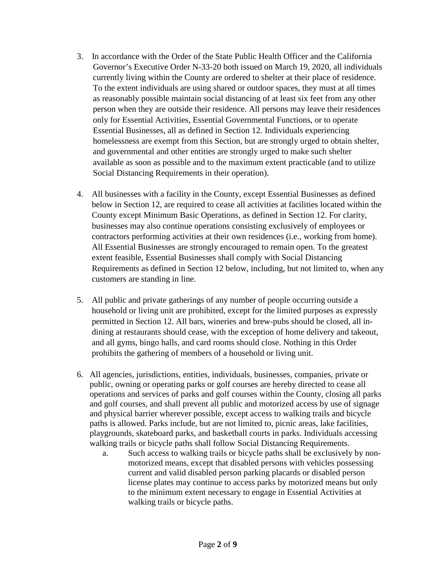- 3. In accordance with the Order of the State Public Health Officer and the California Governor's Executive Order N-33-20 both issued on March 19, 2020, all individuals currently living within the County are ordered to shelter at their place of residence. To the extent individuals are using shared or outdoor spaces, they must at all times as reasonably possible maintain social distancing of at least six feet from any other person when they are outside their residence. All persons may leave their residences only for Essential Activities, Essential Governmental Functions, or to operate Essential Businesses, all as defined in Section 12. Individuals experiencing homelessness are exempt from this Section, but are strongly urged to obtain shelter, and governmental and other entities are strongly urged to make such shelter available as soon as possible and to the maximum extent practicable (and to utilize Social Distancing Requirements in their operation).
- 4. All businesses with a facility in the County, except Essential Businesses as defined below in Section 12, are required to cease all activities at facilities located within the County except Minimum Basic Operations, as defined in Section 12. For clarity, businesses may also continue operations consisting exclusively of employees or contractors performing activities at their own residences (i.e., working from home). All Essential Businesses are strongly encouraged to remain open. To the greatest extent feasible, Essential Businesses shall comply with Social Distancing Requirements as defined in Section 12 below, including, but not limited to, when any customers are standing in line.
- 5. All public and private gatherings of any number of people occurring outside a household or living unit are prohibited, except for the limited purposes as expressly permitted in Section 12. All bars, wineries and brew-pubs should be closed, all indining at restaurants should cease, with the exception of home delivery and takeout, and all gyms, bingo halls, and card rooms should close. Nothing in this Order prohibits the gathering of members of a household or living unit.
- 6. All agencies, jurisdictions, entities, individuals, businesses, companies, private or public, owning or operating parks or golf courses are hereby directed to cease all operations and services of parks and golf courses within the County, closing all parks and golf courses, and shall prevent all public and motorized access by use of signage and physical barrier wherever possible, except access to walking trails and bicycle paths is allowed. Parks include, but are not limited to, picnic areas, lake facilities, playgrounds, skateboard parks, and basketball courts in parks. Individuals accessing walking trails or bicycle paths shall follow Social Distancing Requirements.
	- a. Such access to walking trails or bicycle paths shall be exclusively by nonmotorized means, except that disabled persons with vehicles possessing current and valid disabled person parking placards or disabled person license plates may continue to access parks by motorized means but only to the minimum extent necessary to engage in Essential Activities at walking trails or bicycle paths.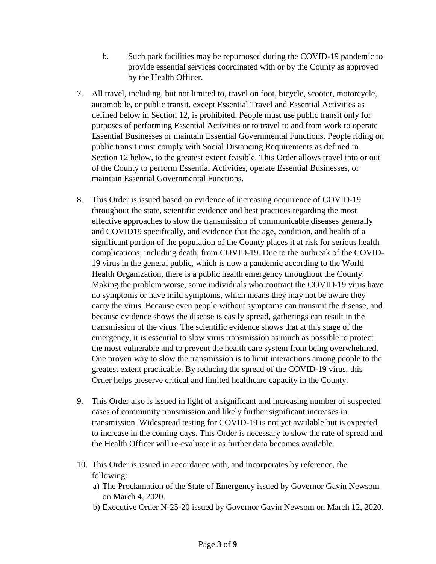- b. Such park facilities may be repurposed during the COVID-19 pandemic to provide essential services coordinated with or by the County as approved by the Health Officer.
- 7. All travel, including, but not limited to, travel on foot, bicycle, scooter, motorcycle, automobile, or public transit, except Essential Travel and Essential Activities as defined below in Section 12, is prohibited. People must use public transit only for purposes of performing Essential Activities or to travel to and from work to operate Essential Businesses or maintain Essential Governmental Functions. People riding on public transit must comply with Social Distancing Requirements as defined in Section 12 below, to the greatest extent feasible. This Order allows travel into or out of the County to perform Essential Activities, operate Essential Businesses, or maintain Essential Governmental Functions.
- 8. This Order is issued based on evidence of increasing occurrence of COVID-19 throughout the state, scientific evidence and best practices regarding the most effective approaches to slow the transmission of communicable diseases generally and COVID19 specifically, and evidence that the age, condition, and health of a significant portion of the population of the County places it at risk for serious health complications, including death, from COVID-19. Due to the outbreak of the COVID-19 virus in the general public, which is now a pandemic according to the World Health Organization, there is a public health emergency throughout the County. Making the problem worse, some individuals who contract the COVID-19 virus have no symptoms or have mild symptoms, which means they may not be aware they carry the virus. Because even people without symptoms can transmit the disease, and because evidence shows the disease is easily spread, gatherings can result in the transmission of the virus. The scientific evidence shows that at this stage of the emergency, it is essential to slow virus transmission as much as possible to protect the most vulnerable and to prevent the health care system from being overwhelmed. One proven way to slow the transmission is to limit interactions among people to the greatest extent practicable. By reducing the spread of the COVID-19 virus, this Order helps preserve critical and limited healthcare capacity in the County.
- 9. This Order also is issued in light of a significant and increasing number of suspected cases of community transmission and likely further significant increases in transmission. Widespread testing for COVID-19 is not yet available but is expected to increase in the coming days. This Order is necessary to slow the rate of spread and the Health Officer will re-evaluate it as further data becomes available.
- 10. This Order is issued in accordance with, and incorporates by reference, the following:
	- a) The Proclamation of the State of Emergency issued by Governor Gavin Newsom on March 4, 2020.
	- b) Executive Order N-25-20 issued by Governor Gavin Newsom on March 12, 2020.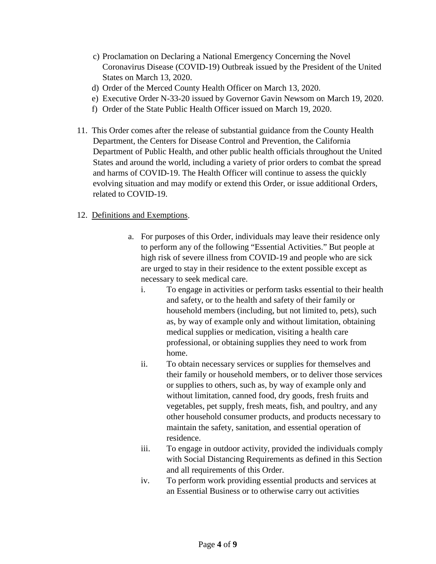- c) Proclamation on Declaring a National Emergency Concerning the Novel Coronavirus Disease (COVID-19) Outbreak issued by the President of the United States on March 13, 2020.
- d) Order of the Merced County Health Officer on March 13, 2020.
- e) Executive Order N-33-20 issued by Governor Gavin Newsom on March 19, 2020.
- f) Order of the State Public Health Officer issued on March 19, 2020.
- 11. This Order comes after the release of substantial guidance from the County Health Department, the Centers for Disease Control and Prevention, the California Department of Public Health, and other public health officials throughout the United States and around the world, including a variety of prior orders to combat the spread and harms of COVID-19. The Health Officer will continue to assess the quickly evolving situation and may modify or extend this Order, or issue additional Orders, related to COVID-19.

### 12. Definitions and Exemptions.

- a. For purposes of this Order, individuals may leave their residence only to perform any of the following "Essential Activities." But people at high risk of severe illness from COVID-19 and people who are sick are urged to stay in their residence to the extent possible except as necessary to seek medical care.
	- i. To engage in activities or perform tasks essential to their health and safety, or to the health and safety of their family or household members (including, but not limited to, pets), such as, by way of example only and without limitation, obtaining medical supplies or medication, visiting a health care professional, or obtaining supplies they need to work from home.
	- ii. To obtain necessary services or supplies for themselves and their family or household members, or to deliver those services or supplies to others, such as, by way of example only and without limitation, canned food, dry goods, fresh fruits and vegetables, pet supply, fresh meats, fish, and poultry, and any other household consumer products, and products necessary to maintain the safety, sanitation, and essential operation of residence.
	- iii. To engage in outdoor activity, provided the individuals comply with Social Distancing Requirements as defined in this Section and all requirements of this Order.
	- iv. To perform work providing essential products and services at an Essential Business or to otherwise carry out activities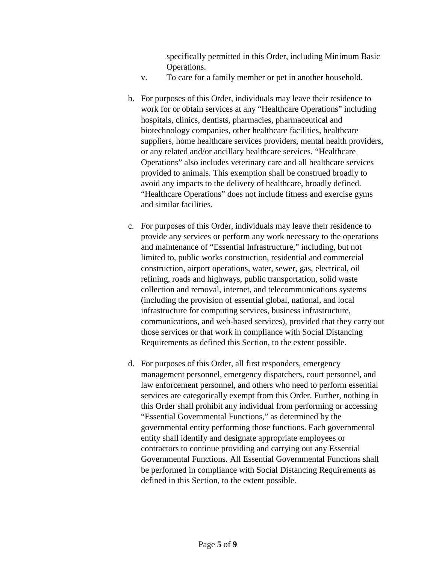specifically permitted in this Order, including Minimum Basic Operations.

- v. To care for a family member or pet in another household.
- b. For purposes of this Order, individuals may leave their residence to work for or obtain services at any "Healthcare Operations" including hospitals, clinics, dentists, pharmacies, pharmaceutical and biotechnology companies, other healthcare facilities, healthcare suppliers, home healthcare services providers, mental health providers, or any related and/or ancillary healthcare services. "Healthcare Operations" also includes veterinary care and all healthcare services provided to animals. This exemption shall be construed broadly to avoid any impacts to the delivery of healthcare, broadly defined. "Healthcare Operations" does not include fitness and exercise gyms and similar facilities.
- c. For purposes of this Order, individuals may leave their residence to provide any services or perform any work necessary to the operations and maintenance of "Essential Infrastructure," including, but not limited to, public works construction, residential and commercial construction, airport operations, water, sewer, gas, electrical, oil refining, roads and highways, public transportation, solid waste collection and removal, internet, and telecommunications systems (including the provision of essential global, national, and local infrastructure for computing services, business infrastructure, communications, and web-based services), provided that they carry out those services or that work in compliance with Social Distancing Requirements as defined this Section, to the extent possible.
- d. For purposes of this Order, all first responders, emergency management personnel, emergency dispatchers, court personnel, and law enforcement personnel, and others who need to perform essential services are categorically exempt from this Order. Further, nothing in this Order shall prohibit any individual from performing or accessing "Essential Governmental Functions," as determined by the governmental entity performing those functions. Each governmental entity shall identify and designate appropriate employees or contractors to continue providing and carrying out any Essential Governmental Functions. All Essential Governmental Functions shall be performed in compliance with Social Distancing Requirements as defined in this Section, to the extent possible.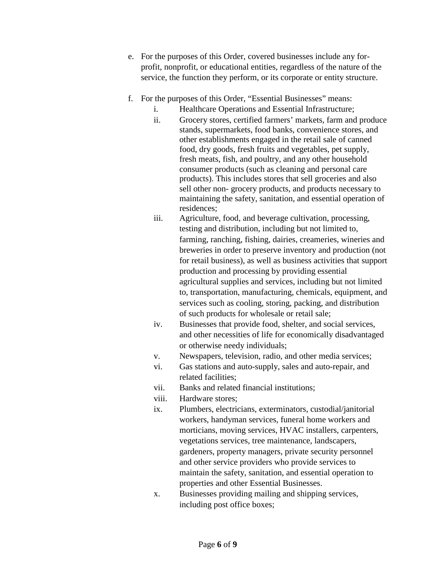- e. For the purposes of this Order, covered businesses include any forprofit, nonprofit, or educational entities, regardless of the nature of the service, the function they perform, or its corporate or entity structure.
- f. For the purposes of this Order, "Essential Businesses" means:
	- i. Healthcare Operations and Essential Infrastructure;
	- ii. Grocery stores, certified farmers' markets, farm and produce stands, supermarkets, food banks, convenience stores, and other establishments engaged in the retail sale of canned food, dry goods, fresh fruits and vegetables, pet supply, fresh meats, fish, and poultry, and any other household consumer products (such as cleaning and personal care products). This includes stores that sell groceries and also sell other non- grocery products, and products necessary to maintaining the safety, sanitation, and essential operation of residences;
	- iii. Agriculture, food, and beverage cultivation, processing, testing and distribution, including but not limited to, farming, ranching, fishing, dairies, creameries, wineries and breweries in order to preserve inventory and production (not for retail business), as well as business activities that support production and processing by providing essential agricultural supplies and services, including but not limited to, transportation, manufacturing, chemicals, equipment, and services such as cooling, storing, packing, and distribution of such products for wholesale or retail sale;
	- iv. Businesses that provide food, shelter, and social services, and other necessities of life for economically disadvantaged or otherwise needy individuals;
	- v. Newspapers, television, radio, and other media services;
	- vi. Gas stations and auto-supply, sales and auto-repair, and related facilities;
	- vii. Banks and related financial institutions;
	- viii. Hardware stores;
	- ix. Plumbers, electricians, exterminators, custodial/janitorial workers, handyman services, funeral home workers and morticians, moving services, HVAC installers, carpenters, vegetations services, tree maintenance, landscapers, gardeners, property managers, private security personnel and other service providers who provide services to maintain the safety, sanitation, and essential operation to properties and other Essential Businesses.
	- x. Businesses providing mailing and shipping services, including post office boxes;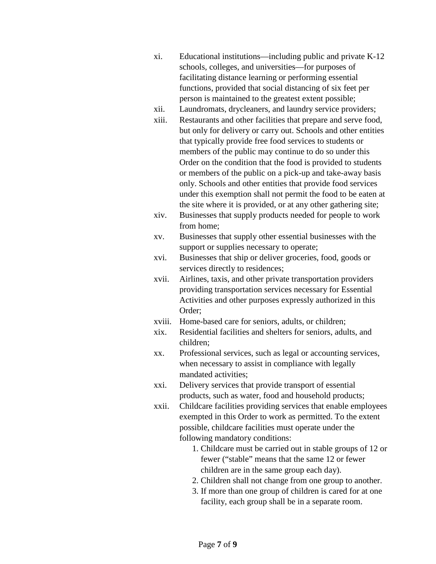- xi. Educational institutions—including public and private K-12 schools, colleges, and universities—for purposes of facilitating distance learning or performing essential functions, provided that social distancing of six feet per person is maintained to the greatest extent possible;
- xii. Laundromats, drycleaners, and laundry service providers;
- xiii. Restaurants and other facilities that prepare and serve food, but only for delivery or carry out. Schools and other entities that typically provide free food services to students or members of the public may continue to do so under this Order on the condition that the food is provided to students or members of the public on a pick-up and take-away basis only. Schools and other entities that provide food services under this exemption shall not permit the food to be eaten at the site where it is provided, or at any other gathering site;
- xiv. Businesses that supply products needed for people to work from home;
- xv. Businesses that supply other essential businesses with the support or supplies necessary to operate;
- xvi. Businesses that ship or deliver groceries, food, goods or services directly to residences;
- xvii. Airlines, taxis, and other private transportation providers providing transportation services necessary for Essential Activities and other purposes expressly authorized in this Order;
- xviii. Home-based care for seniors, adults, or children;
- xix. Residential facilities and shelters for seniors, adults, and children;
- xx. Professional services, such as legal or accounting services, when necessary to assist in compliance with legally mandated activities;
- xxi. Delivery services that provide transport of essential products, such as water, food and household products;
- xxii. Childcare facilities providing services that enable employees exempted in this Order to work as permitted. To the extent possible, childcare facilities must operate under the following mandatory conditions:
	- 1. Childcare must be carried out in stable groups of 12 or fewer ("stable" means that the same 12 or fewer children are in the same group each day).
	- 2. Children shall not change from one group to another.
	- 3. If more than one group of children is cared for at one facility, each group shall be in a separate room.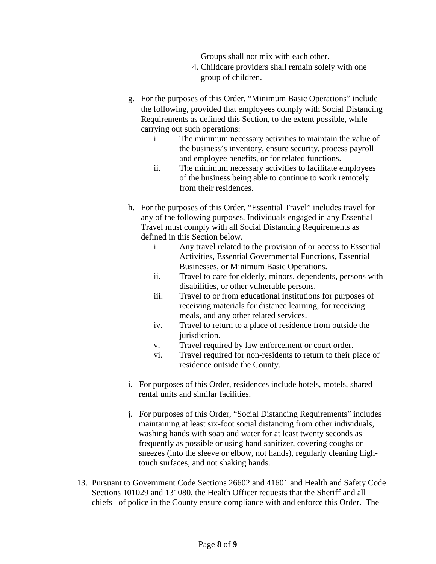Groups shall not mix with each other.

- 4. Childcare providers shall remain solely with one group of children.
- g. For the purposes of this Order, "Minimum Basic Operations" include the following, provided that employees comply with Social Distancing Requirements as defined this Section, to the extent possible, while carrying out such operations:
	- i. The minimum necessary activities to maintain the value of the business's inventory, ensure security, process payroll and employee benefits, or for related functions.
	- ii. The minimum necessary activities to facilitate employees of the business being able to continue to work remotely from their residences.
- h. For the purposes of this Order, "Essential Travel" includes travel for any of the following purposes. Individuals engaged in any Essential Travel must comply with all Social Distancing Requirements as defined in this Section below.
	- i. Any travel related to the provision of or access to Essential Activities, Essential Governmental Functions, Essential Businesses, or Minimum Basic Operations.
	- ii. Travel to care for elderly, minors, dependents, persons with disabilities, or other vulnerable persons.
	- iii. Travel to or from educational institutions for purposes of receiving materials for distance learning, for receiving meals, and any other related services.
	- iv. Travel to return to a place of residence from outside the jurisdiction.
	- v. Travel required by law enforcement or court order.
	- vi. Travel required for non-residents to return to their place of residence outside the County.
- i. For purposes of this Order, residences include hotels, motels, shared rental units and similar facilities.
- j. For purposes of this Order, "Social Distancing Requirements" includes maintaining at least six-foot social distancing from other individuals, washing hands with soap and water for at least twenty seconds as frequently as possible or using hand sanitizer, covering coughs or sneezes (into the sleeve or elbow, not hands), regularly cleaning hightouch surfaces, and not shaking hands.
- 13. Pursuant to Government Code Sections 26602 and 41601 and Health and Safety Code Sections 101029 and 131080, the Health Officer requests that the Sheriff and all chiefs of police in the County ensure compliance with and enforce this Order. The